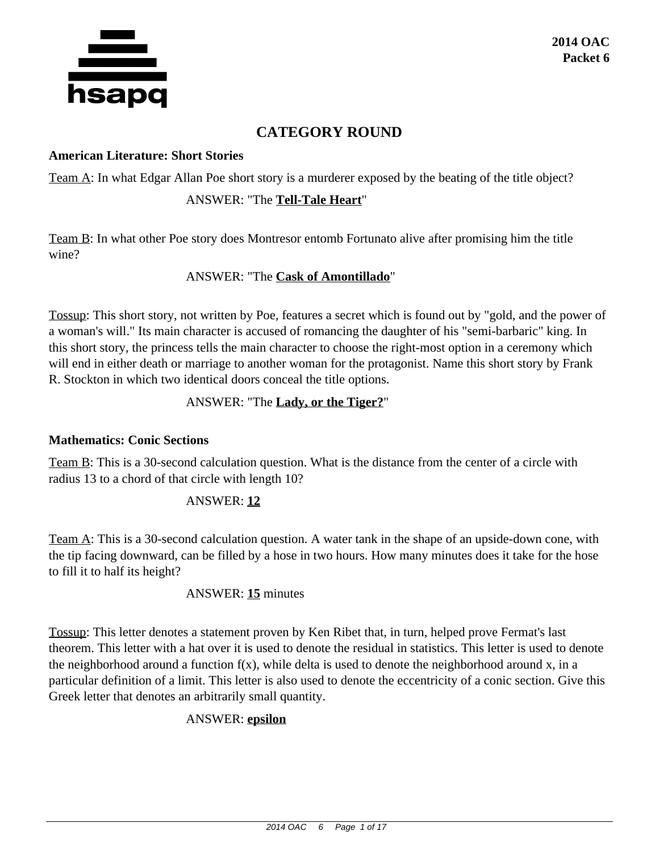

# **CATEGORY ROUND**

#### **American Literature: Short Stories**

Team A: In what Edgar Allan Poe short story is a murderer exposed by the beating of the title object?

## ANSWER: "The **Tell-Tale Heart**"

Team B: In what other Poe story does Montresor entomb Fortunato alive after promising him the title wine?

## ANSWER: "The **Cask of Amontillado**"

Tossup: This short story, not written by Poe, features a secret which is found out by "gold, and the power of a woman's will." Its main character is accused of romancing the daughter of his "semi-barbaric" king. In this short story, the princess tells the main character to choose the right-most option in a ceremony which will end in either death or marriage to another woman for the protagonist. Name this short story by Frank R. Stockton in which two identical doors conceal the title options.

## ANSWER: "The **Lady, or the Tiger?**"

## **Mathematics: Conic Sections**

Team B: This is a 30-second calculation question. What is the distance from the center of a circle with radius 13 to a chord of that circle with length 10?

## ANSWER: **12**

Team A: This is a 30-second calculation question. A water tank in the shape of an upside-down cone, with the tip facing downward, can be filled by a hose in two hours. How many minutes does it take for the hose to fill it to half its height?

## ANSWER: **15** minutes

Tossup: This letter denotes a statement proven by Ken Ribet that, in turn, helped prove Fermat's last theorem. This letter with a hat over it is used to denote the residual in statistics. This letter is used to denote the neighborhood around a function  $f(x)$ , while delta is used to denote the neighborhood around x, in a particular definition of a limit. This letter is also used to denote the eccentricity of a conic section. Give this Greek letter that denotes an arbitrarily small quantity.

## ANSWER: **epsilon**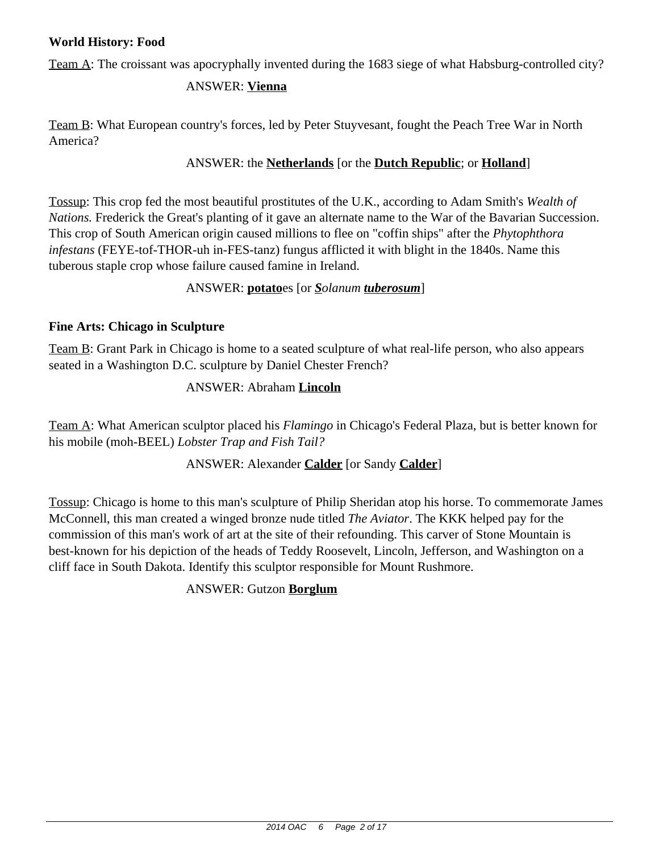# **World History: Food**

Team A: The croissant was apocryphally invented during the 1683 siege of what Habsburg-controlled city?

## ANSWER: **Vienna**

Team B: What European country's forces, led by Peter Stuyvesant, fought the Peach Tree War in North America?

## ANSWER: the **Netherlands** [or the **Dutch Republic**; or **Holland**]

Tossup: This crop fed the most beautiful prostitutes of the U.K., according to Adam Smith's *Wealth of Nations.* Frederick the Great's planting of it gave an alternate name to the War of the Bavarian Succession. This crop of South American origin caused millions to flee on "coffin ships" after the *Phytophthora infestans* (FEYE-tof-THOR-uh in-FES-tanz) fungus afflicted it with blight in the 1840s. Name this tuberous staple crop whose failure caused famine in Ireland.

## ANSWER: **potato**es [or *Solanum tuberosum*]

## **Fine Arts: Chicago in Sculpture**

Team B: Grant Park in Chicago is home to a seated sculpture of what real-life person, who also appears seated in a Washington D.C. sculpture by Daniel Chester French?

## ANSWER: Abraham **Lincoln**

Team A: What American sculptor placed his *Flamingo* in Chicago's Federal Plaza, but is better known for his mobile (moh-BEEL) *Lobster Trap and Fish Tail?*

# ANSWER: Alexander **Calder** [or Sandy **Calder**]

Tossup: Chicago is home to this man's sculpture of Philip Sheridan atop his horse. To commemorate James McConnell, this man created a winged bronze nude titled *The Aviator*. The KKK helped pay for the commission of this man's work of art at the site of their refounding. This carver of Stone Mountain is best-known for his depiction of the heads of Teddy Roosevelt, Lincoln, Jefferson, and Washington on a cliff face in South Dakota. Identify this sculptor responsible for Mount Rushmore.

## ANSWER: Gutzon **Borglum**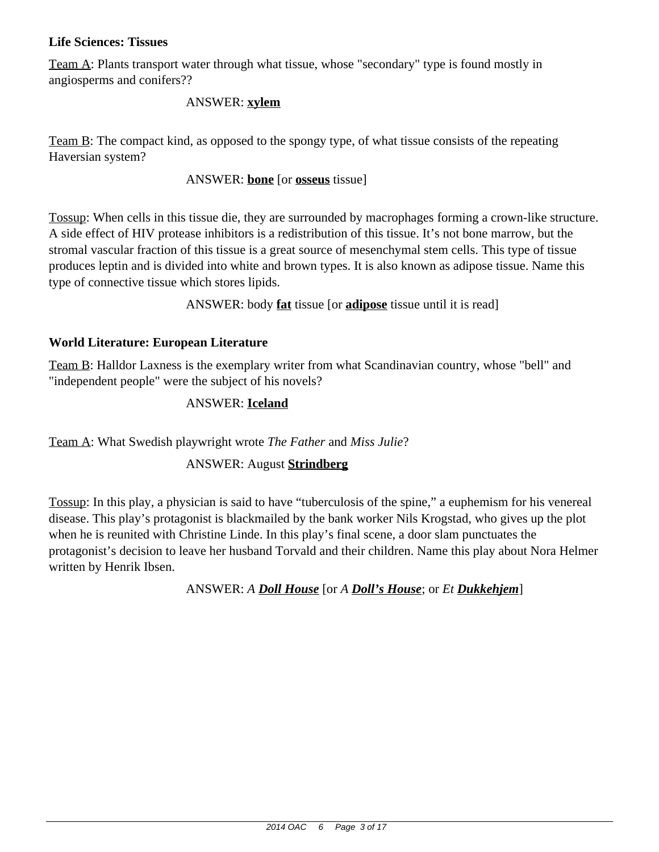## **Life Sciences: Tissues**

Team A: Plants transport water through what tissue, whose "secondary" type is found mostly in angiosperms and conifers??

#### ANSWER: **xylem**

Team B: The compact kind, as opposed to the spongy type, of what tissue consists of the repeating Haversian system?

#### ANSWER: **bone** [or **osseus** tissue]

Tossup: When cells in this tissue die, they are surrounded by macrophages forming a crown-like structure. A side effect of HIV protease inhibitors is a redistribution of this tissue. It's not bone marrow, but the stromal vascular fraction of this tissue is a great source of mesenchymal stem cells. This type of tissue produces leptin and is divided into white and brown types. It is also known as adipose tissue. Name this type of connective tissue which stores lipids.

ANSWER: body **fat** tissue [or **adipose** tissue until it is read]

## **World Literature: European Literature**

Team B: Halldor Laxness is the exemplary writer from what Scandinavian country, whose "bell" and "independent people" were the subject of his novels?

## ANSWER: **Iceland**

Team A: What Swedish playwright wrote *The Father* and *Miss Julie*?

## ANSWER: August **Strindberg**

Tossup: In this play, a physician is said to have "tuberculosis of the spine," a euphemism for his venereal disease. This play's protagonist is blackmailed by the bank worker Nils Krogstad, who gives up the plot when he is reunited with Christine Linde. In this play's final scene, a door slam punctuates the protagonist's decision to leave her husband Torvald and their children. Name this play about Nora Helmer written by Henrik Ibsen.

ANSWER: *A Doll House* [or *A Doll's House*; or *Et Dukkehjem*]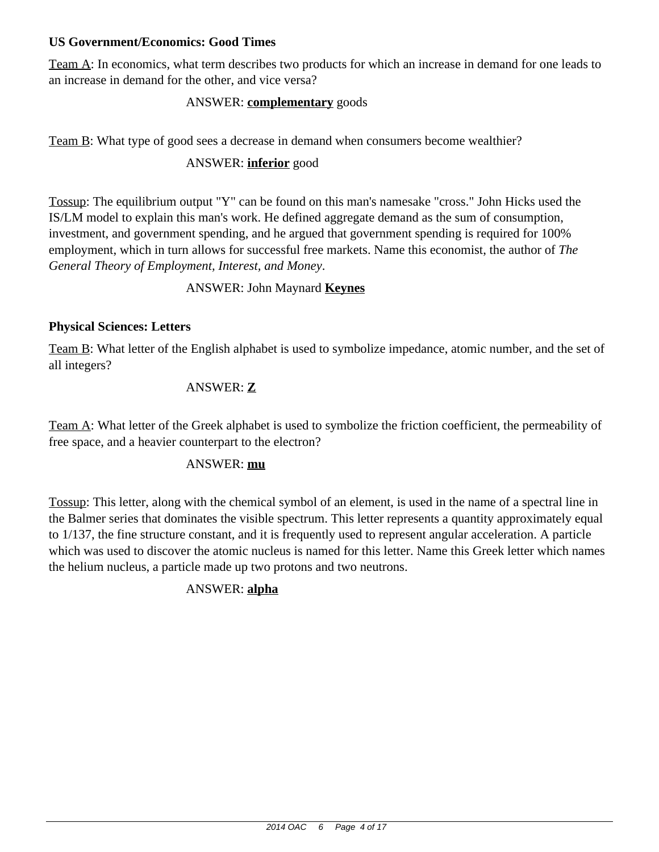## **US Government/Economics: Good Times**

Team A: In economics, what term describes two products for which an increase in demand for one leads to an increase in demand for the other, and vice versa?

## ANSWER: **complementary** goods

Team B: What type of good sees a decrease in demand when consumers become wealthier?

## ANSWER: **inferior** good

Tossup: The equilibrium output "Y" can be found on this man's namesake "cross." John Hicks used the IS/LM model to explain this man's work. He defined aggregate demand as the sum of consumption, investment, and government spending, and he argued that government spending is required for 100% employment, which in turn allows for successful free markets. Name this economist, the author of *The General Theory of Employment, Interest, and Money*.

## ANSWER: John Maynard **Keynes**

## **Physical Sciences: Letters**

Team B: What letter of the English alphabet is used to symbolize impedance, atomic number, and the set of all integers?

## ANSWER: **Z**

Team A: What letter of the Greek alphabet is used to symbolize the friction coefficient, the permeability of free space, and a heavier counterpart to the electron?

## ANSWER: **mu**

Tossup: This letter, along with the chemical symbol of an element, is used in the name of a spectral line in the Balmer series that dominates the visible spectrum. This letter represents a quantity approximately equal to 1/137, the fine structure constant, and it is frequently used to represent angular acceleration. A particle which was used to discover the atomic nucleus is named for this letter. Name this Greek letter which names the helium nucleus, a particle made up two protons and two neutrons.

# ANSWER: **alpha**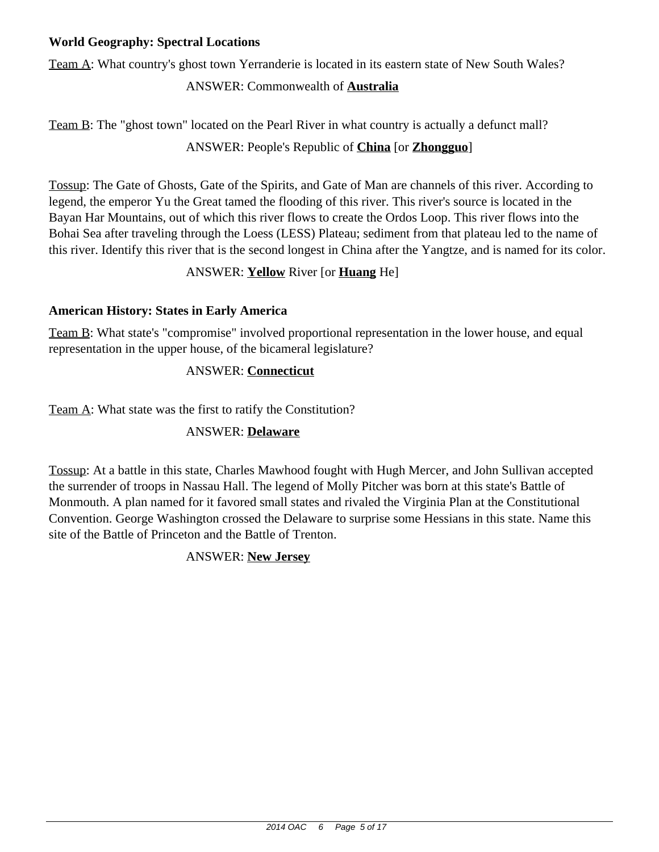## **World Geography: Spectral Locations**

Team A: What country's ghost town Yerranderie is located in its eastern state of New South Wales?

## ANSWER: Commonwealth of **Australia**

Team B: The "ghost town" located on the Pearl River in what country is actually a defunct mall? ANSWER: People's Republic of **China** [or **Zhongguo**]

Tossup: The Gate of Ghosts, Gate of the Spirits, and Gate of Man are channels of this river. According to legend, the emperor Yu the Great tamed the flooding of this river. This river's source is located in the Bayan Har Mountains, out of which this river flows to create the Ordos Loop. This river flows into the Bohai Sea after traveling through the Loess (LESS) Plateau; sediment from that plateau led to the name of this river. Identify this river that is the second longest in China after the Yangtze, and is named for its color.

# ANSWER: **Yellow** River [or **Huang** He]

## **American History: States in Early America**

Team B: What state's "compromise" involved proportional representation in the lower house, and equal representation in the upper house, of the bicameral legislature?

## ANSWER: **Connecticut**

Team A: What state was the first to ratify the Constitution?

## ANSWER: **Delaware**

Tossup: At a battle in this state, Charles Mawhood fought with Hugh Mercer, and John Sullivan accepted the surrender of troops in Nassau Hall. The legend of Molly Pitcher was born at this state's Battle of Monmouth. A plan named for it favored small states and rivaled the Virginia Plan at the Constitutional Convention. George Washington crossed the Delaware to surprise some Hessians in this state. Name this site of the Battle of Princeton and the Battle of Trenton.

# ANSWER: **New Jersey**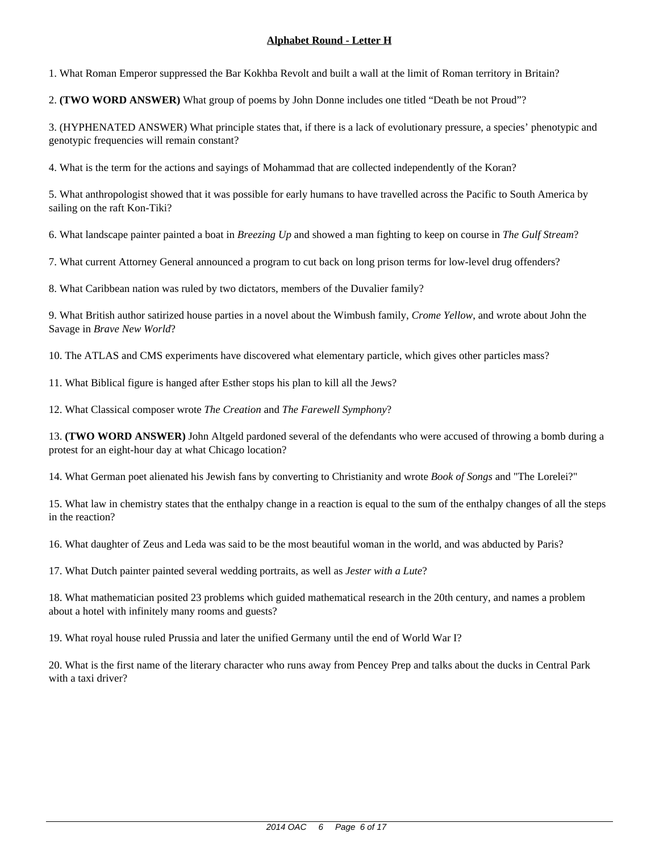1. What Roman Emperor suppressed the Bar Kokhba Revolt and built a wall at the limit of Roman territory in Britain?

2. **(TWO WORD ANSWER)** What group of poems by John Donne includes one titled "Death be not Proud"?

3. (HYPHENATED ANSWER) What principle states that, if there is a lack of evolutionary pressure, a species' phenotypic and genotypic frequencies will remain constant?

4. What is the term for the actions and sayings of Mohammad that are collected independently of the Koran?

5. What anthropologist showed that it was possible for early humans to have travelled across the Pacific to South America by sailing on the raft Kon-Tiki?

6. What landscape painter painted a boat in *Breezing Up* and showed a man fighting to keep on course in *The Gulf Stream*?

7. What current Attorney General announced a program to cut back on long prison terms for low-level drug offenders?

8. What Caribbean nation was ruled by two dictators, members of the Duvalier family?

9. What British author satirized house parties in a novel about the Wimbush family, *Crome Yellow*, and wrote about John the Savage in *Brave New World*?

10. The ATLAS and CMS experiments have discovered what elementary particle, which gives other particles mass?

11. What Biblical figure is hanged after Esther stops his plan to kill all the Jews?

12. What Classical composer wrote *The Creation* and *The Farewell Symphony*?

13. **(TWO WORD ANSWER)** John Altgeld pardoned several of the defendants who were accused of throwing a bomb during a protest for an eight-hour day at what Chicago location?

14. What German poet alienated his Jewish fans by converting to Christianity and wrote *Book of Songs* and "The Lorelei?"

15. What law in chemistry states that the enthalpy change in a reaction is equal to the sum of the enthalpy changes of all the steps in the reaction?

16. What daughter of Zeus and Leda was said to be the most beautiful woman in the world, and was abducted by Paris?

17. What Dutch painter painted several wedding portraits, as well as *Jester with a Lute*?

18. What mathematician posited 23 problems which guided mathematical research in the 20th century, and names a problem about a hotel with infinitely many rooms and guests?

19. What royal house ruled Prussia and later the unified Germany until the end of World War I?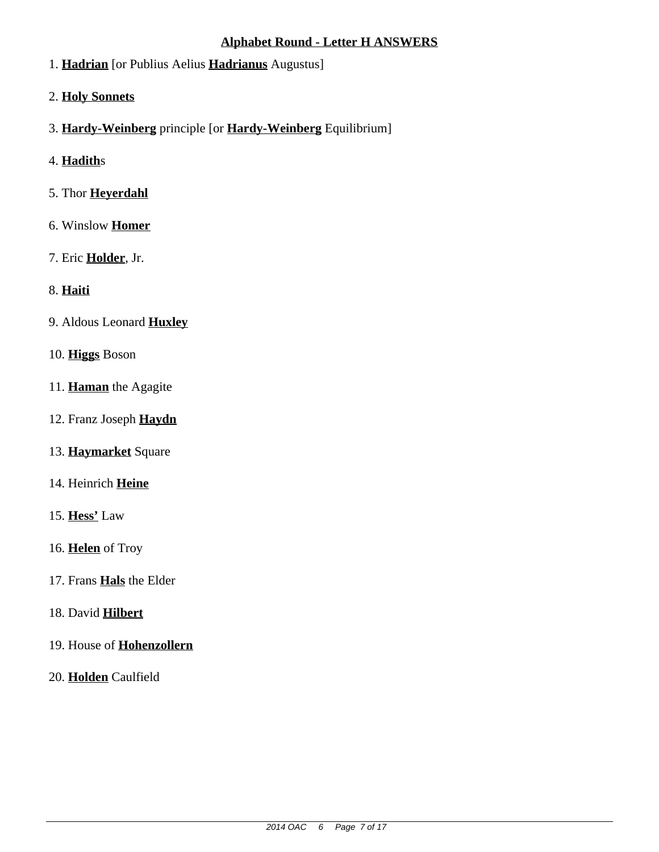## **Alphabet Round - Letter H ANSWERS**

- 1. **Hadrian** [or Publius Aelius **Hadrianus** Augustus]
- 2. **Holy Sonnets**
- 3. **Hardy-Weinberg** principle [or **Hardy-Weinberg** Equilibrium]
- 4. **Hadith**s
- 5. Thor **Heyerdahl**
- 6. Winslow **Homer**
- 7. Eric **Holder**, Jr.
- 8. **Haiti**
- 9. Aldous Leonard **Huxley**
- 10. **Higgs** Boson
- 11. **Haman** the Agagite
- 12. Franz Joseph **Haydn**
- 13. **Haymarket** Square
- 14. Heinrich **Heine**
- 15. **Hess'** Law
- 16. **Helen** of Troy
- 17. Frans **Hals** the Elder
- 18. David **Hilbert**
- 19. House of **Hohenzollern**
- 20. **Holden** Caulfield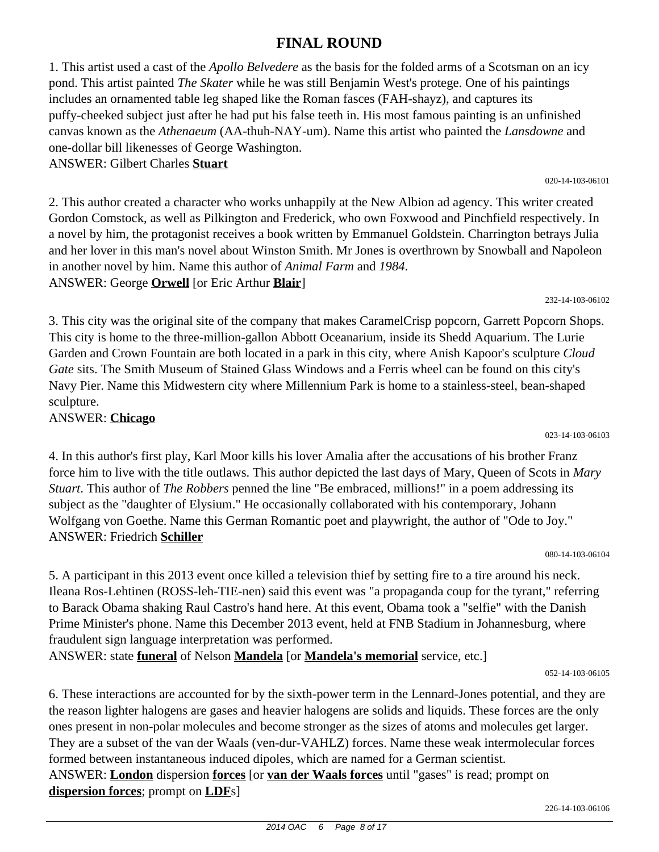#### 2014 OAC 6 Page 8 of 17

# **FINAL ROUND**

1. This artist used a cast of the *Apollo Belvedere* as the basis for the folded arms of a Scotsman on an icy pond. This artist painted *The Skater* while he was still Benjamin West's protege. One of his paintings includes an ornamented table leg shaped like the Roman fasces (FAH-shayz), and captures its puffy-cheeked subject just after he had put his false teeth in. His most famous painting is an unfinished canvas known as the *Athenaeum* (AA-thuh-NAY-um). Name this artist who painted the *Lansdowne* and one-dollar bill likenesses of George Washington.

ANSWER: Gilbert Charles **Stuart**

2. This author created a character who works unhappily at the New Albion ad agency. This writer created Gordon Comstock, as well as Pilkington and Frederick, who own Foxwood and Pinchfield respectively. In a novel by him, the protagonist receives a book written by Emmanuel Goldstein. Charrington betrays Julia and her lover in this man's novel about Winston Smith. Mr Jones is overthrown by Snowball and Napoleon in another novel by him. Name this author of *Animal Farm* and *1984*. ANSWER: George **Orwell** [or Eric Arthur **Blair**]

3. This city was the original site of the company that makes CaramelCrisp popcorn, Garrett Popcorn Shops. This city is home to the three-million-gallon Abbott Oceanarium, inside its Shedd Aquarium. The Lurie Garden and Crown Fountain are both located in a park in this city, where Anish Kapoor's sculpture *Cloud Gate* sits. The Smith Museum of Stained Glass Windows and a Ferris wheel can be found on this city's Navy Pier. Name this Midwestern city where Millennium Park is home to a stainless-steel, bean-shaped sculpture.

ANSWER: **Chicago**

4. In this author's first play, Karl Moor kills his lover Amalia after the accusations of his brother Franz force him to live with the title outlaws. This author depicted the last days of Mary, Queen of Scots in *Mary Stuart*. This author of *The Robbers* penned the line "Be embraced, millions!" in a poem addressing its subject as the "daughter of Elysium." He occasionally collaborated with his contemporary, Johann Wolfgang von Goethe. Name this German Romantic poet and playwright, the author of "Ode to Joy." ANSWER: Friedrich **Schiller**

5. A participant in this 2013 event once killed a television thief by setting fire to a tire around his neck. Ileana Ros-Lehtinen (ROSS-leh-TIE-nen) said this event was "a propaganda coup for the tyrant," referring to Barack Obama shaking Raul Castro's hand here. At this event, Obama took a "selfie" with the Danish Prime Minister's phone. Name this December 2013 event, held at FNB Stadium in Johannesburg, where fraudulent sign language interpretation was performed.

ANSWER: state **funeral** of Nelson **Mandela** [or **Mandela's memorial** service, etc.]

052-14-103-06105

6. These interactions are accounted for by the sixth-power term in the Lennard-Jones potential, and they are the reason lighter halogens are gases and heavier halogens are solids and liquids. These forces are the only ones present in non-polar molecules and become stronger as the sizes of atoms and molecules get larger. They are a subset of the van der Waals (ven-dur-VAHLZ) forces. Name these weak intermolecular forces formed between instantaneous induced dipoles, which are named for a German scientist. ANSWER: **London** dispersion **forces** [or **van der Waals forces** until "gases" is read; prompt on **dispersion forces**; prompt on **LDF**s]

020-14-103-06101

232-14-103-06102

080-14-103-06104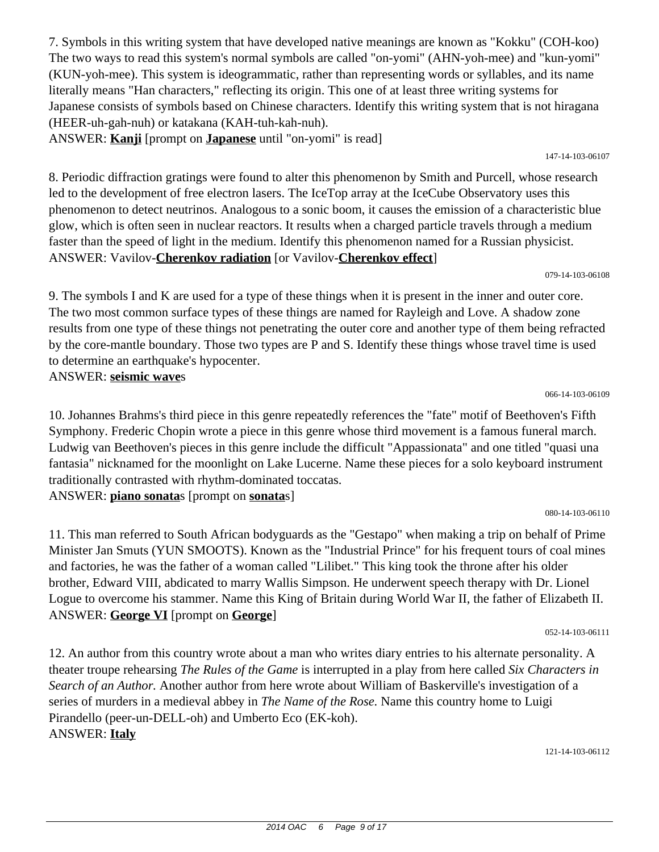7. Symbols in this writing system that have developed native meanings are known as "Kokku" (COH-koo) The two ways to read this system's normal symbols are called "on-yomi" (AHN-yoh-mee) and "kun-yomi" (KUN-yoh-mee). This system is ideogrammatic, rather than representing words or syllables, and its name literally means "Han characters," reflecting its origin. This one of at least three writing systems for Japanese consists of symbols based on Chinese characters. Identify this writing system that is not hiragana (HEER-uh-gah-nuh) or katakana (KAH-tuh-kah-nuh).

ANSWER: **Kanji** [prompt on **Japanese** until "on-yomi" is read]

8. Periodic diffraction gratings were found to alter this phenomenon by Smith and Purcell, whose research led to the development of free electron lasers. The IceTop array at the IceCube Observatory uses this phenomenon to detect neutrinos. Analogous to a sonic boom, it causes the emission of a characteristic blue glow, which is often seen in nuclear reactors. It results when a charged particle travels through a medium faster than the speed of light in the medium. Identify this phenomenon named for a Russian physicist. ANSWER: Vavilov-**Cherenkov radiation** [or Vavilov-**Cherenkov effect**]

079-14-103-06108

147-14-103-06107

9. The symbols I and K are used for a type of these things when it is present in the inner and outer core. The two most common surface types of these things are named for Rayleigh and Love. A shadow zone results from one type of these things not penetrating the outer core and another type of them being refracted by the core-mantle boundary. Those two types are P and S. Identify these things whose travel time is used to determine an earthquake's hypocenter. ANSWER: **seismic wave**s

066-14-103-06109

10. Johannes Brahms's third piece in this genre repeatedly references the "fate" motif of Beethoven's Fifth Symphony. Frederic Chopin wrote a piece in this genre whose third movement is a famous funeral march. Ludwig van Beethoven's pieces in this genre include the difficult "Appassionata" and one titled "quasi una fantasia" nicknamed for the moonlight on Lake Lucerne. Name these pieces for a solo keyboard instrument traditionally contrasted with rhythm-dominated toccatas. ANSWER: **piano sonata**s [prompt on **sonata**s]

080-14-103-06110

11. This man referred to South African bodyguards as the "Gestapo" when making a trip on behalf of Prime Minister Jan Smuts (YUN SMOOTS). Known as the "Industrial Prince" for his frequent tours of coal mines and factories, he was the father of a woman called "Lilibet." This king took the throne after his older brother, Edward VIII, abdicated to marry Wallis Simpson. He underwent speech therapy with Dr. Lionel Logue to overcome his stammer. Name this King of Britain during World War II, the father of Elizabeth II. ANSWER: **George VI** [prompt on **George**]

052-14-103-06111

12. An author from this country wrote about a man who writes diary entries to his alternate personality. A theater troupe rehearsing *The Rules of the Game* is interrupted in a play from here called *Six Characters in Search of an Author.* Another author from here wrote about William of Baskerville's investigation of a series of murders in a medieval abbey in *The Name of the Rose.* Name this country home to Luigi Pirandello (peer-un-DELL-oh) and Umberto Eco (EK-koh). ANSWER: **Italy**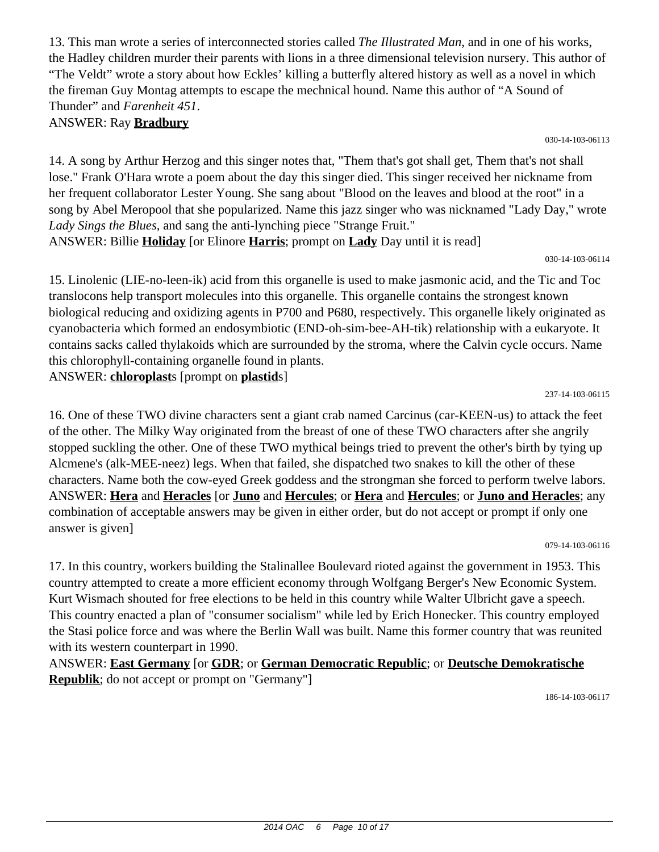13. This man wrote a series of interconnected stories called *The Illustrated Man*, and in one of his works, the Hadley children murder their parents with lions in a three dimensional television nursery. This author of "The Veldt" wrote a story about how Eckles' killing a butterfly altered history as well as a novel in which the fireman Guy Montag attempts to escape the mechnical hound. Name this author of "A Sound of Thunder" and *Farenheit 451*.

ANSWER: Ray **Bradbury**

030-14-103-06113

14. A song by Arthur Herzog and this singer notes that, "Them that's got shall get, Them that's not shall lose." Frank O'Hara wrote a poem about the day this singer died. This singer received her nickname from her frequent collaborator Lester Young. She sang about "Blood on the leaves and blood at the root" in a song by Abel Meropool that she popularized. Name this jazz singer who was nicknamed "Lady Day," wrote *Lady Sings the Blues,* and sang the anti-lynching piece "Strange Fruit." ANSWER: Billie **Holiday** [or Elinore **Harris**; prompt on **Lady** Day until it is read]

030-14-103-06114

15. Linolenic (LIE-no-leen-ik) acid from this organelle is used to make jasmonic acid, and the Tic and Toc translocons help transport molecules into this organelle. This organelle contains the strongest known biological reducing and oxidizing agents in P700 and P680, respectively. This organelle likely originated as cyanobacteria which formed an endosymbiotic (END-oh-sim-bee-AH-tik) relationship with a eukaryote. It contains sacks called thylakoids which are surrounded by the stroma, where the Calvin cycle occurs. Name this chlorophyll-containing organelle found in plants.

ANSWER: **chloroplast**s [prompt on **plastid**s]

237-14-103-06115

16. One of these TWO divine characters sent a giant crab named Carcinus (car-KEEN-us) to attack the feet of the other. The Milky Way originated from the breast of one of these TWO characters after she angrily stopped suckling the other. One of these TWO mythical beings tried to prevent the other's birth by tying up Alcmene's (alk-MEE-neez) legs. When that failed, she dispatched two snakes to kill the other of these characters. Name both the cow-eyed Greek goddess and the strongman she forced to perform twelve labors. ANSWER: **Hera** and **Heracles** [or **Juno** and **Hercules**; or **Hera** and **Hercules**; or **Juno and Heracles**; any combination of acceptable answers may be given in either order, but do not accept or prompt if only one answer is given]

079-14-103-06116

17. In this country, workers building the Stalinallee Boulevard rioted against the government in 1953. This country attempted to create a more efficient economy through Wolfgang Berger's New Economic System. Kurt Wismach shouted for free elections to be held in this country while Walter Ulbricht gave a speech. This country enacted a plan of "consumer socialism" while led by Erich Honecker. This country employed the Stasi police force and was where the Berlin Wall was built. Name this former country that was reunited with its western counterpart in 1990.

ANSWER: **East Germany** [or **GDR**; or **German Democratic Republic**; or **Deutsche Demokratische Republik**; do not accept or prompt on "Germany"]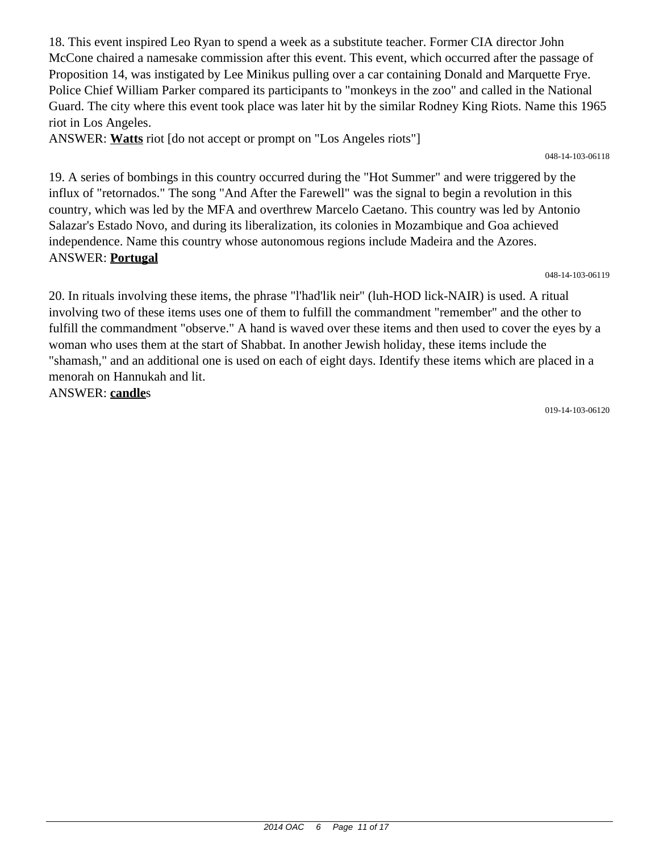18. This event inspired Leo Ryan to spend a week as a substitute teacher. Former CIA director John McCone chaired a namesake commission after this event. This event, which occurred after the passage of Proposition 14, was instigated by Lee Minikus pulling over a car containing Donald and Marquette Frye. Police Chief William Parker compared its participants to "monkeys in the zoo" and called in the National Guard. The city where this event took place was later hit by the similar Rodney King Riots. Name this 1965 riot in Los Angeles.

ANSWER: **Watts** riot [do not accept or prompt on "Los Angeles riots"]

048-14-103-06118

19. A series of bombings in this country occurred during the "Hot Summer" and were triggered by the influx of "retornados." The song "And After the Farewell" was the signal to begin a revolution in this country, which was led by the MFA and overthrew Marcelo Caetano. This country was led by Antonio Salazar's Estado Novo, and during its liberalization, its colonies in Mozambique and Goa achieved independence. Name this country whose autonomous regions include Madeira and the Azores. ANSWER: **Portugal**

048-14-103-06119

20. In rituals involving these items, the phrase "l'had'lik neir" (luh-HOD lick-NAIR) is used. A ritual involving two of these items uses one of them to fulfill the commandment "remember" and the other to fulfill the commandment "observe." A hand is waved over these items and then used to cover the eyes by a woman who uses them at the start of Shabbat. In another Jewish holiday, these items include the "shamash," and an additional one is used on each of eight days. Identify these items which are placed in a menorah on Hannukah and lit.

ANSWER: **candle**s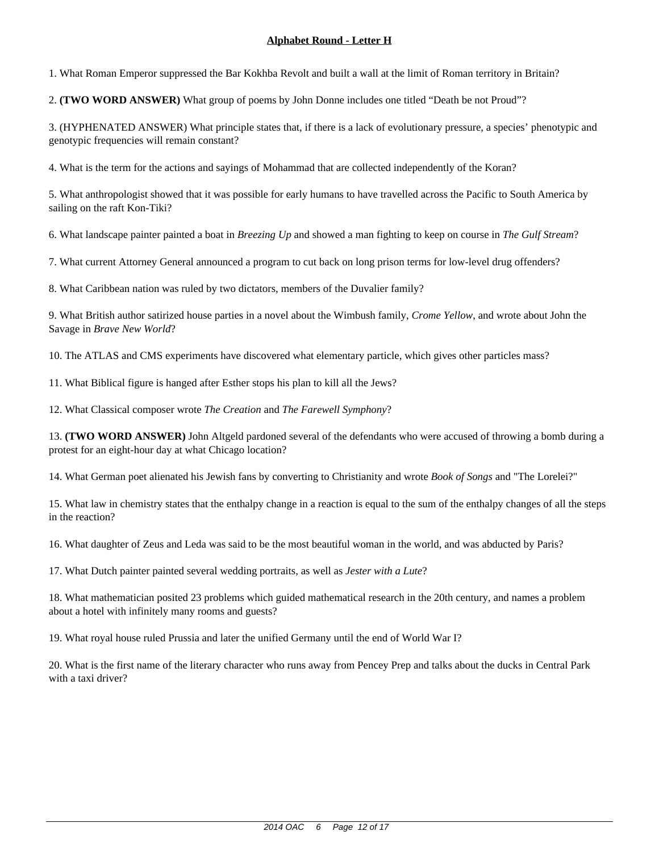1. What Roman Emperor suppressed the Bar Kokhba Revolt and built a wall at the limit of Roman territory in Britain?

2. **(TWO WORD ANSWER)** What group of poems by John Donne includes one titled "Death be not Proud"?

3. (HYPHENATED ANSWER) What principle states that, if there is a lack of evolutionary pressure, a species' phenotypic and genotypic frequencies will remain constant?

4. What is the term for the actions and sayings of Mohammad that are collected independently of the Koran?

5. What anthropologist showed that it was possible for early humans to have travelled across the Pacific to South America by sailing on the raft Kon-Tiki?

6. What landscape painter painted a boat in *Breezing Up* and showed a man fighting to keep on course in *The Gulf Stream*?

7. What current Attorney General announced a program to cut back on long prison terms for low-level drug offenders?

8. What Caribbean nation was ruled by two dictators, members of the Duvalier family?

9. What British author satirized house parties in a novel about the Wimbush family, *Crome Yellow*, and wrote about John the Savage in *Brave New World*?

10. The ATLAS and CMS experiments have discovered what elementary particle, which gives other particles mass?

11. What Biblical figure is hanged after Esther stops his plan to kill all the Jews?

12. What Classical composer wrote *The Creation* and *The Farewell Symphony*?

13. **(TWO WORD ANSWER)** John Altgeld pardoned several of the defendants who were accused of throwing a bomb during a protest for an eight-hour day at what Chicago location?

14. What German poet alienated his Jewish fans by converting to Christianity and wrote *Book of Songs* and "The Lorelei?"

15. What law in chemistry states that the enthalpy change in a reaction is equal to the sum of the enthalpy changes of all the steps in the reaction?

16. What daughter of Zeus and Leda was said to be the most beautiful woman in the world, and was abducted by Paris?

17. What Dutch painter painted several wedding portraits, as well as *Jester with a Lute*?

18. What mathematician posited 23 problems which guided mathematical research in the 20th century, and names a problem about a hotel with infinitely many rooms and guests?

19. What royal house ruled Prussia and later the unified Germany until the end of World War I?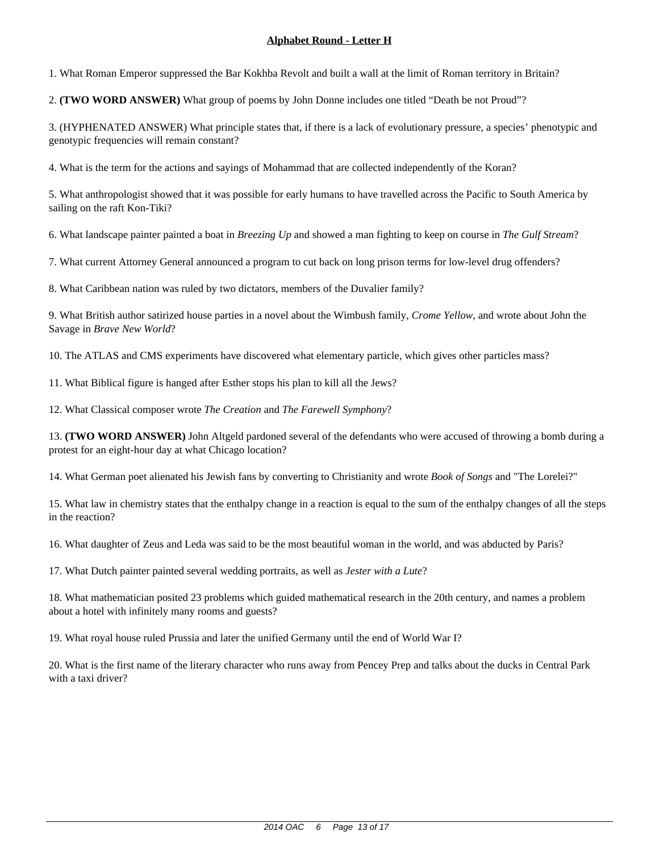1. What Roman Emperor suppressed the Bar Kokhba Revolt and built a wall at the limit of Roman territory in Britain?

2. **(TWO WORD ANSWER)** What group of poems by John Donne includes one titled "Death be not Proud"?

3. (HYPHENATED ANSWER) What principle states that, if there is a lack of evolutionary pressure, a species' phenotypic and genotypic frequencies will remain constant?

4. What is the term for the actions and sayings of Mohammad that are collected independently of the Koran?

5. What anthropologist showed that it was possible for early humans to have travelled across the Pacific to South America by sailing on the raft Kon-Tiki?

6. What landscape painter painted a boat in *Breezing Up* and showed a man fighting to keep on course in *The Gulf Stream*?

7. What current Attorney General announced a program to cut back on long prison terms for low-level drug offenders?

8. What Caribbean nation was ruled by two dictators, members of the Duvalier family?

9. What British author satirized house parties in a novel about the Wimbush family, *Crome Yellow*, and wrote about John the Savage in *Brave New World*?

10. The ATLAS and CMS experiments have discovered what elementary particle, which gives other particles mass?

11. What Biblical figure is hanged after Esther stops his plan to kill all the Jews?

12. What Classical composer wrote *The Creation* and *The Farewell Symphony*?

13. **(TWO WORD ANSWER)** John Altgeld pardoned several of the defendants who were accused of throwing a bomb during a protest for an eight-hour day at what Chicago location?

14. What German poet alienated his Jewish fans by converting to Christianity and wrote *Book of Songs* and "The Lorelei?"

15. What law in chemistry states that the enthalpy change in a reaction is equal to the sum of the enthalpy changes of all the steps in the reaction?

16. What daughter of Zeus and Leda was said to be the most beautiful woman in the world, and was abducted by Paris?

17. What Dutch painter painted several wedding portraits, as well as *Jester with a Lute*?

18. What mathematician posited 23 problems which guided mathematical research in the 20th century, and names a problem about a hotel with infinitely many rooms and guests?

19. What royal house ruled Prussia and later the unified Germany until the end of World War I?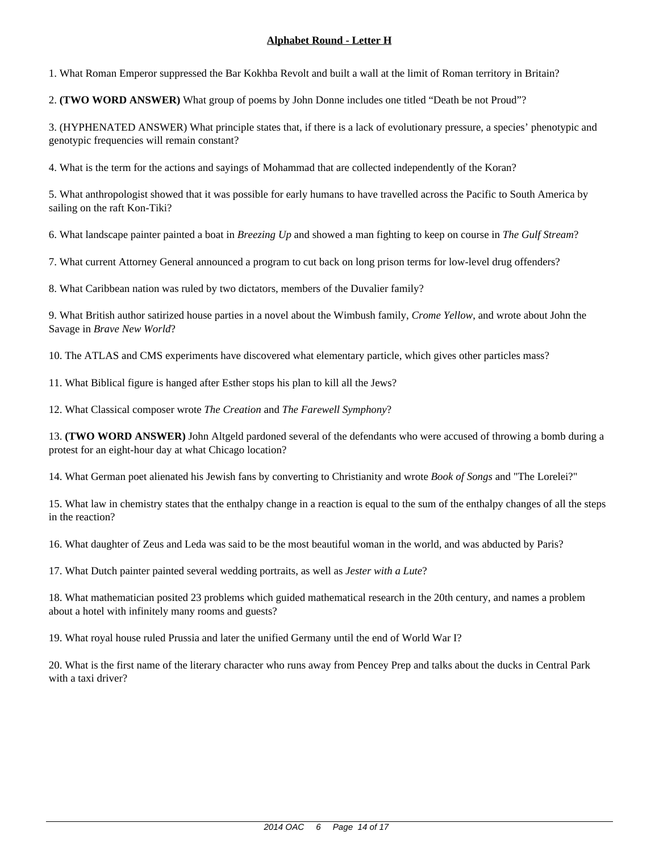1. What Roman Emperor suppressed the Bar Kokhba Revolt and built a wall at the limit of Roman territory in Britain?

2. **(TWO WORD ANSWER)** What group of poems by John Donne includes one titled "Death be not Proud"?

3. (HYPHENATED ANSWER) What principle states that, if there is a lack of evolutionary pressure, a species' phenotypic and genotypic frequencies will remain constant?

4. What is the term for the actions and sayings of Mohammad that are collected independently of the Koran?

5. What anthropologist showed that it was possible for early humans to have travelled across the Pacific to South America by sailing on the raft Kon-Tiki?

6. What landscape painter painted a boat in *Breezing Up* and showed a man fighting to keep on course in *The Gulf Stream*?

7. What current Attorney General announced a program to cut back on long prison terms for low-level drug offenders?

8. What Caribbean nation was ruled by two dictators, members of the Duvalier family?

9. What British author satirized house parties in a novel about the Wimbush family, *Crome Yellow*, and wrote about John the Savage in *Brave New World*?

10. The ATLAS and CMS experiments have discovered what elementary particle, which gives other particles mass?

11. What Biblical figure is hanged after Esther stops his plan to kill all the Jews?

12. What Classical composer wrote *The Creation* and *The Farewell Symphony*?

13. **(TWO WORD ANSWER)** John Altgeld pardoned several of the defendants who were accused of throwing a bomb during a protest for an eight-hour day at what Chicago location?

14. What German poet alienated his Jewish fans by converting to Christianity and wrote *Book of Songs* and "The Lorelei?"

15. What law in chemistry states that the enthalpy change in a reaction is equal to the sum of the enthalpy changes of all the steps in the reaction?

16. What daughter of Zeus and Leda was said to be the most beautiful woman in the world, and was abducted by Paris?

17. What Dutch painter painted several wedding portraits, as well as *Jester with a Lute*?

18. What mathematician posited 23 problems which guided mathematical research in the 20th century, and names a problem about a hotel with infinitely many rooms and guests?

19. What royal house ruled Prussia and later the unified Germany until the end of World War I?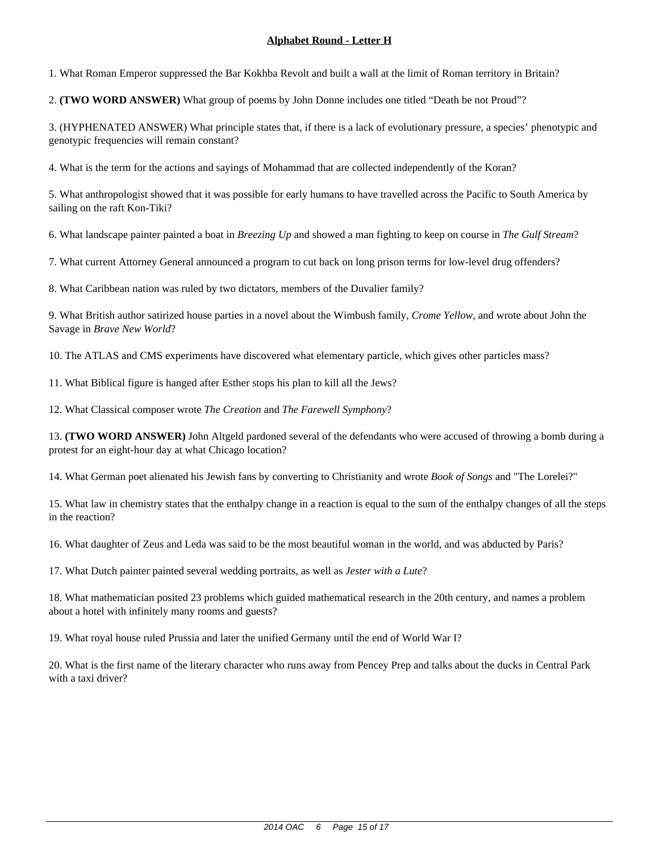1. What Roman Emperor suppressed the Bar Kokhba Revolt and built a wall at the limit of Roman territory in Britain?

2. **(TWO WORD ANSWER)** What group of poems by John Donne includes one titled "Death be not Proud"?

3. (HYPHENATED ANSWER) What principle states that, if there is a lack of evolutionary pressure, a species' phenotypic and genotypic frequencies will remain constant?

4. What is the term for the actions and sayings of Mohammad that are collected independently of the Koran?

5. What anthropologist showed that it was possible for early humans to have travelled across the Pacific to South America by sailing on the raft Kon-Tiki?

6. What landscape painter painted a boat in *Breezing Up* and showed a man fighting to keep on course in *The Gulf Stream*?

7. What current Attorney General announced a program to cut back on long prison terms for low-level drug offenders?

8. What Caribbean nation was ruled by two dictators, members of the Duvalier family?

9. What British author satirized house parties in a novel about the Wimbush family, *Crome Yellow*, and wrote about John the Savage in *Brave New World*?

10. The ATLAS and CMS experiments have discovered what elementary particle, which gives other particles mass?

11. What Biblical figure is hanged after Esther stops his plan to kill all the Jews?

12. What Classical composer wrote *The Creation* and *The Farewell Symphony*?

13. **(TWO WORD ANSWER)** John Altgeld pardoned several of the defendants who were accused of throwing a bomb during a protest for an eight-hour day at what Chicago location?

14. What German poet alienated his Jewish fans by converting to Christianity and wrote *Book of Songs* and "The Lorelei?"

15. What law in chemistry states that the enthalpy change in a reaction is equal to the sum of the enthalpy changes of all the steps in the reaction?

16. What daughter of Zeus and Leda was said to be the most beautiful woman in the world, and was abducted by Paris?

17. What Dutch painter painted several wedding portraits, as well as *Jester with a Lute*?

18. What mathematician posited 23 problems which guided mathematical research in the 20th century, and names a problem about a hotel with infinitely many rooms and guests?

19. What royal house ruled Prussia and later the unified Germany until the end of World War I?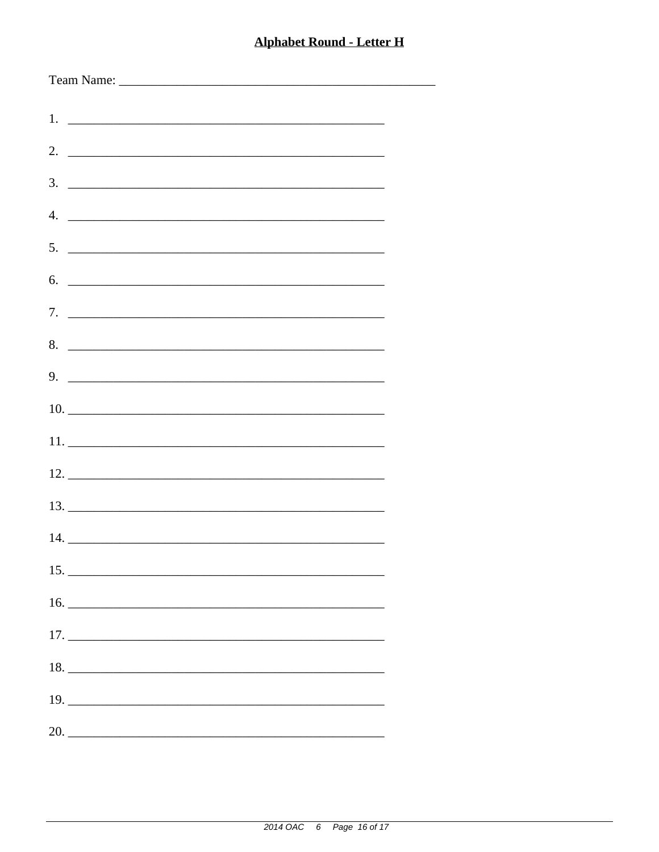-

| $\overline{4}$ .              |  |
|-------------------------------|--|
| $5.$ $\overline{\phantom{a}}$ |  |
| 6.                            |  |
|                               |  |
|                               |  |
| 8.                            |  |
| $9.$ $\overline{\phantom{a}}$ |  |
|                               |  |
|                               |  |
|                               |  |
|                               |  |
|                               |  |
|                               |  |
|                               |  |
| 15.                           |  |
|                               |  |
|                               |  |
|                               |  |
|                               |  |
|                               |  |
|                               |  |